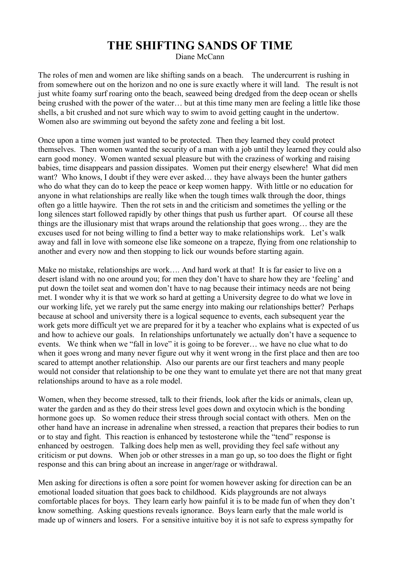## **THE SHIFTING SANDS OF TIME**

Diane McCann

The roles of men and women are like shifting sands on a beach. The undercurrent is rushing in from somewhere out on the horizon and no one is sure exactly where it will land. The result is not just white foamy surf roaring onto the beach, seaweed being dredged from the deep ocean or shells being crushed with the power of the water… but at this time many men are feeling a little like those shells, a bit crushed and not sure which way to swim to avoid getting caught in the undertow. Women also are swimming out beyond the safety zone and feeling a bit lost.

Once upon a time women just wanted to be protected. Then they learned they could protect themselves. Then women wanted the security of a man with a job until they learned they could also earn good money. Women wanted sexual pleasure but with the craziness of working and raising babies, time disappears and passion dissipates. Women put their energy elsewhere! What did men want? Who knows, I doubt if they were ever asked… they have always been the hunter gathers who do what they can do to keep the peace or keep women happy. With little or no education for anyone in what relationships are really like when the tough times walk through the door, things often go a little haywire. Then the rot sets in and the criticism and sometimes the yelling or the long silences start followed rapidly by other things that push us further apart. Of course all these things are the illusionary mist that wraps around the relationship that goes wrong… they are the excuses used for not being willing to find a better way to make relationships work. Let's walk away and fall in love with someone else like someone on a trapeze, flying from one relationship to another and every now and then stopping to lick our wounds before starting again.

Make no mistake, relationships are work.... And hard work at that! It is far easier to live on a desert island with no one around you; for men they don't have to share how they are 'feeling' and put down the toilet seat and women don't have to nag because their intimacy needs are not being met. I wonder why it is that we work so hard at getting a University degree to do what we love in our working life, yet we rarely put the same energy into making our relationships better? Perhaps because at school and university there is a logical sequence to events, each subsequent year the work gets more difficult yet we are prepared for it by a teacher who explains what is expected of us and how to achieve our goals. In relationships unfortunately we actually don't have a sequence to events. We think when we "fall in love" it is going to be forever… we have no clue what to do when it goes wrong and many never figure out why it went wrong in the first place and then are too scared to attempt another relationship. Also our parents are our first teachers and many people would not consider that relationship to be one they want to emulate yet there are not that many great relationships around to have as a role model.

Women, when they become stressed, talk to their friends, look after the kids or animals, clean up, water the garden and as they do their stress level goes down and oxytocin which is the bonding hormone goes up. So women reduce their stress through social contact with others. Men on the other hand have an increase in adrenaline when stressed, a reaction that prepares their bodies to run or to stay and fight. This reaction is enhanced by testosterone while the "tend" response is enhanced by oestrogen. Talking does help men as well, providing they feel safe without any criticism or put downs. When job or other stresses in a man go up, so too does the flight or fight response and this can bring about an increase in anger/rage or withdrawal.

Men asking for directions is often a sore point for women however asking for direction can be an emotional loaded situation that goes back to childhood. Kids playgrounds are not always comfortable places for boys. They learn early how painful it is to be made fun of when they don't know something. Asking questions reveals ignorance. Boys learn early that the male world is made up of winners and losers. For a sensitive intuitive boy it is not safe to express sympathy for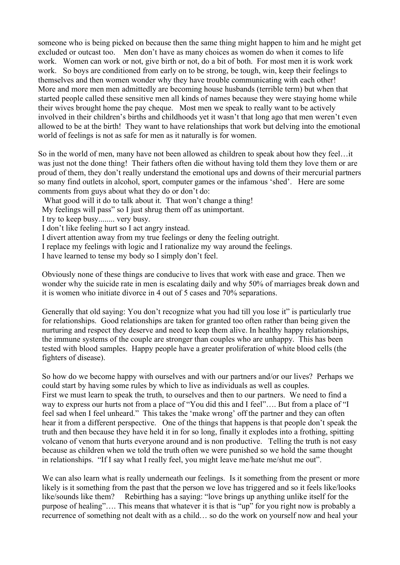someone who is being picked on because then the same thing might happen to him and he might get excluded or outcast too. Men don't have as many choices as women do when it comes to life work. Women can work or not, give birth or not, do a bit of both. For most men it is work work work. So boys are conditioned from early on to be strong, be tough, win, keep their feelings to themselves and then women wonder why they have trouble communicating with each other! More and more men men admittedly are becoming house husbands (terrible term) but when that started people called these sensitive men all kinds of names because they were staying home while their wives brought home the pay cheque. Most men we speak to really want to be actively involved in their children's births and childhoods yet it wasn't that long ago that men weren't even allowed to be at the birth! They want to have relationships that work but delving into the emotional world of feelings is not as safe for men as it naturally is for women.

So in the world of men, many have not been allowed as children to speak about how they feel…it was just not the done thing! Their fathers often die without having told them they love them or are proud of them, they don't really understand the emotional ups and downs of their mercurial partners so many find outlets in alcohol, sport, computer games or the infamous 'shed'. Here are some comments from guys about what they do or don't do:

What good will it do to talk about it. That won't change a thing!

My feelings will pass" so I just shrug them off as unimportant.

I try to keep busy........ very busy.

I don't like feeling hurt so I act angry instead.

I divert attention away from my true feelings or deny the feeling outright.

I replace my feelings with logic and I rationalize my way around the feelings.

I have learned to tense my body so I simply don't feel.

Obviously none of these things are conducive to lives that work with ease and grace. Then we wonder why the suicide rate in men is escalating daily and why 50% of marriages break down and it is women who initiate divorce in 4 out of 5 cases and 70% separations.

Generally that old saying: You don't recognize what you had till you lose it" is particularly true for relationships. Good relationships are taken for granted too often rather than being given the nurturing and respect they deserve and need to keep them alive. In healthy happy relationships, the immune systems of the couple are stronger than couples who are unhappy. This has been tested with blood samples. Happy people have a greater proliferation of white blood cells (the fighters of disease).

So how do we become happy with ourselves and with our partners and/or our lives? Perhaps we could start by having some rules by which to live as individuals as well as couples. First we must learn to speak the truth, to ourselves and then to our partners. We need to find a way to express our hurts not from a place of "You did this and I feel"…. But from a place of "I feel sad when I feel unheard." This takes the 'make wrong' off the partner and they can often hear it from a different perspective. One of the things that happens is that people don't speak the truth and then because they have held it in for so long, finally it explodes into a frothing, spitting volcano of venom that hurts everyone around and is non productive. Telling the truth is not easy because as children when we told the truth often we were punished so we hold the same thought in relationships. "If I say what I really feel, you might leave me/hate me/shut me out".

We can also learn what is really underneath our feelings. Is it something from the present or more likely is it something from the past that the person we love has triggered and so it feels like/looks like/sounds like them? Rebirthing has a saying: "love brings up anything unlike itself for the purpose of healing"…. This means that whatever it is that is "up" for you right now is probably a recurrence of something not dealt with as a child… so do the work on yourself now and heal your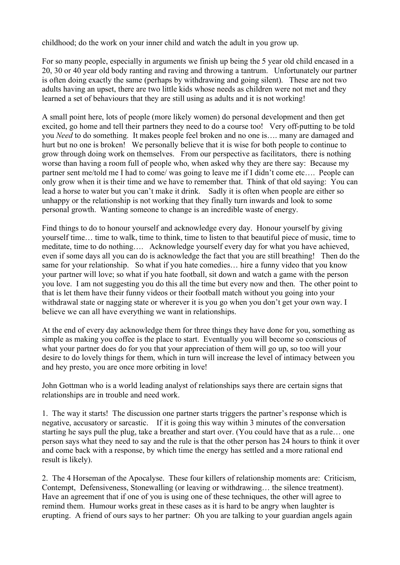childhood; do the work on your inner child and watch the adult in you grow up.

For so many people, especially in arguments we finish up being the 5 year old child encased in a 20, 30 or 40 year old body ranting and raving and throwing a tantrum. Unfortunately our partner is often doing exactly the same (perhaps by withdrawing and going silent). These are not two adults having an upset, there are two little kids whose needs as children were not met and they learned a set of behaviours that they are still using as adults and it is not working!

A small point here, lots of people (more likely women) do personal development and then get excited, go home and tell their partners they need to do a course too! Very off-putting to be told you *Need* to do something. It makes people feel broken and no one is…. many are damaged and hurt but no one is broken! We personally believe that it is wise for both people to continue to grow through doing work on themselves. From our perspective as facilitators, there is nothing worse than having a room full of people who, when asked why they are there say: Because my partner sent me/told me I had to come/ was going to leave me if I didn't come etc…. People can only grow when it is their time and we have to remember that. Think of that old saying: You can lead a horse to water but you can't make it drink. Sadly it is often when people are either so unhappy or the relationship is not working that they finally turn inwards and look to some personal growth. Wanting someone to change is an incredible waste of energy.

Find things to do to honour yourself and acknowledge every day. Honour yourself by giving yourself time… time to walk, time to think, time to listen to that beautiful piece of music, time to meditate, time to do nothing…. Acknowledge yourself every day for what you have achieved, even if some days all you can do is acknowledge the fact that you are still breathing! Then do the same for your relationship. So what if you hate comedies… hire a funny video that you know your partner will love; so what if you hate football, sit down and watch a game with the person you love. I am not suggesting you do this all the time but every now and then. The other point to that is let them have their funny videos or their football match without you going into your withdrawal state or nagging state or wherever it is you go when you don't get your own way. I believe we can all have everything we want in relationships.

At the end of every day acknowledge them for three things they have done for you, something as simple as making you coffee is the place to start. Eventually you will become so conscious of what your partner does do for you that your appreciation of them will go up, so too will your desire to do lovely things for them, which in turn will increase the level of intimacy between you and hey presto, you are once more orbiting in love!

John Gottman who is a world leading analyst of relationships says there are certain signs that relationships are in trouble and need work.

1. The way it starts! The discussion one partner starts triggers the partner's response which is negative, accusatory or sarcastic. If it is going this way within 3 minutes of the conversation starting he says pull the plug, take a breather and start over. (You could have that as a rule… one person says what they need to say and the rule is that the other person has 24 hours to think it over and come back with a response, by which time the energy has settled and a more rational end result is likely).

2. The 4 Horseman of the Apocalyse. These four killers of relationship moments are: Criticism, Contempt, Defensiveness, Stonewalling (or leaving or withdrawing… the silence treatment). Have an agreement that if one of you is using one of these techniques, the other will agree to remind them. Humour works great in these cases as it is hard to be angry when laughter is erupting. A friend of ours says to her partner: Oh you are talking to your guardian angels again